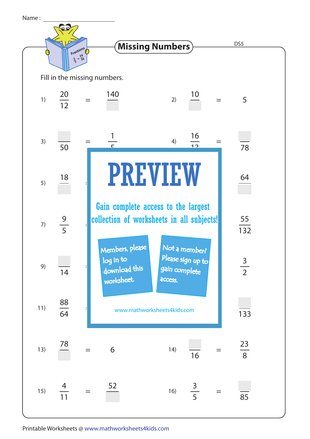